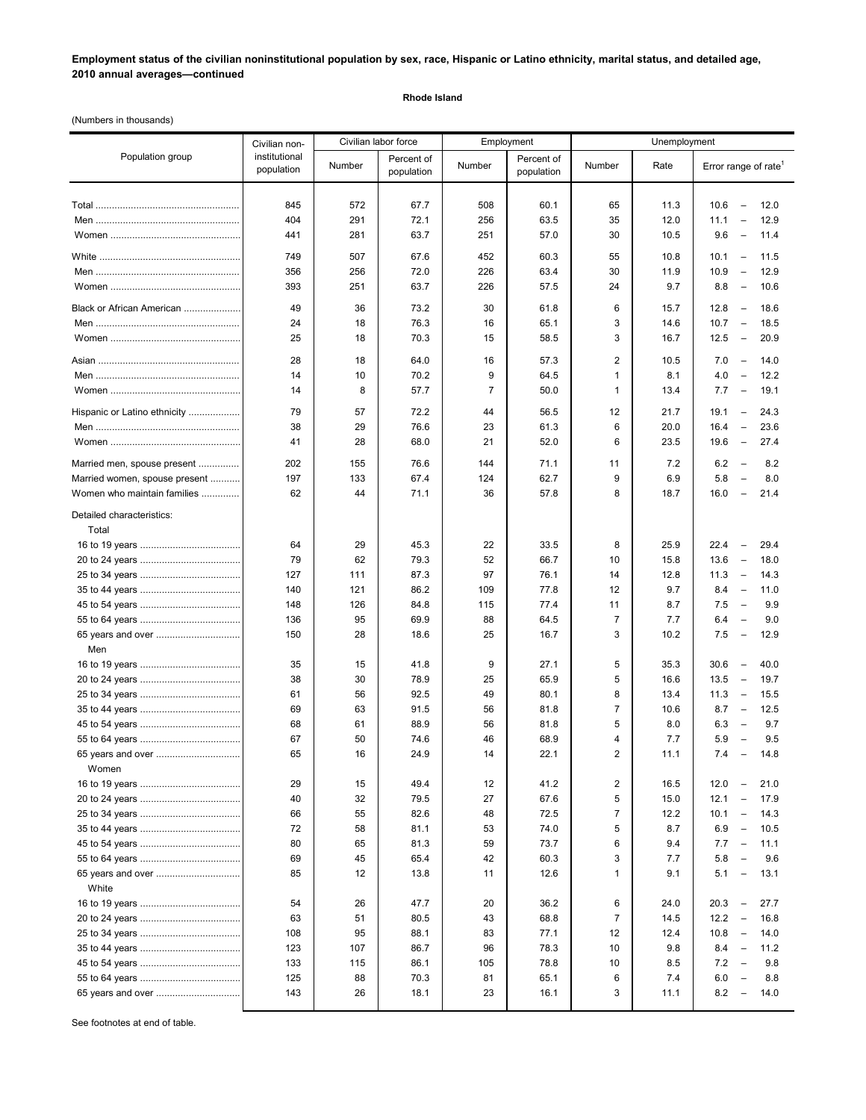**Employment status of the civilian noninstitutional population by sex, race, Hispanic or Latino ethnicity, marital status, and detailed age, 2010 annual averages—continued**

## **Rhode Island**

(Numbers in thousands)

|                                    | Civilian non-<br>institutional<br>population | Civilian labor force |                          | Employment     |                          | Unemployment   |              |                                                  |
|------------------------------------|----------------------------------------------|----------------------|--------------------------|----------------|--------------------------|----------------|--------------|--------------------------------------------------|
| Population group                   |                                              | Number               | Percent of<br>population | Number         | Percent of<br>population | Number         | Rate         | Error range of rate <sup>1</sup>                 |
|                                    |                                              |                      | 67.7                     |                | 60.1                     |                |              | 12.0<br>$\overline{\phantom{0}}$                 |
|                                    | 845<br>404                                   | 572<br>291           | 72.1                     | 508<br>256     | 63.5                     | 65<br>35       | 11.3<br>12.0 | 10.6<br>11.1<br>12.9<br>$\overline{\phantom{0}}$ |
|                                    | 441                                          | 281                  | 63.7                     | 251            | 57.0                     | 30             | 10.5         | 9.6<br>11.4<br>$\overline{\phantom{a}}$          |
|                                    |                                              |                      |                          |                |                          |                |              |                                                  |
|                                    | 749                                          | 507                  | 67.6                     | 452            | 60.3                     | 55             | 10.8         | 10.1<br>$\qquad \qquad -$<br>11.5                |
|                                    | 356                                          | 256                  | 72.0                     | 226            | 63.4                     | 30             | 11.9         | 10.9<br>12.9<br>$\qquad \qquad -$                |
|                                    | 393                                          | 251                  | 63.7                     | 226            | 57.5                     | 24             | 9.7          | 8.8<br>10.6<br>$\overline{\phantom{0}}$          |
| Black or African American          | 49                                           | 36                   | 73.2                     | 30             | 61.8                     | 6              | 15.7         | 12.8<br>18.6<br>$\hspace{0.1mm}-\hspace{0.1mm}$  |
|                                    | 24                                           | 18                   | 76.3                     | 16             | 65.1                     | 3              | 14.6         | 10.7<br>$\overline{\phantom{a}}$<br>18.5         |
|                                    | 25                                           | 18                   | 70.3                     | 15             | 58.5                     | 3              | 16.7         | 12.5<br>20.9<br>$\hspace{0.1mm}-\hspace{0.1mm}$  |
|                                    | 28                                           | 18                   | 64.0                     | 16             | 57.3                     | 2              | 10.5         | 7.0<br>14.0<br>$\overline{\phantom{a}}$          |
|                                    | 14                                           | 10                   | 70.2                     | 9              | 64.5                     | 1              | 8.1          | 4.0<br>$\overline{\phantom{0}}$<br>12.2          |
|                                    | 14                                           | 8                    | 57.7                     | $\overline{7}$ | 50.0                     | 1              | 13.4         | 7.7<br>19.1<br>$\overline{\phantom{a}}$          |
| Hispanic or Latino ethnicity       | 79                                           | 57                   | 72.2                     | 44             | 56.5                     | 12             | 21.7         | 19.1<br>24.3<br>$\overline{\phantom{a}}$         |
|                                    | 38                                           | 29                   | 76.6                     | 23             | 61.3                     | 6              | 20.0         | 23.6<br>16.4<br>$\overline{\phantom{a}}$         |
|                                    | 41                                           | 28                   | 68.0                     | 21             | 52.0                     | 6              | 23.5         | 19.6<br>27.4<br>$\overline{\phantom{a}}$         |
|                                    |                                              |                      |                          |                |                          |                |              |                                                  |
| Married men, spouse present        | 202                                          | 155                  | 76.6                     | 144            | 71.1                     | 11             | 7.2          | 6.2<br>8.2<br>$\overline{\phantom{a}}$           |
| Married women, spouse present      | 197                                          | 133                  | 67.4                     | 124            | 62.7                     | 9              | 6.9          | 5.8<br>8.0<br>$\overline{\phantom{0}}$           |
| Women who maintain families        | 62                                           | 44                   | 71.1                     | 36             | 57.8                     | 8              | 18.7         | 16.0<br>21.4<br>$\overline{\phantom{a}}$         |
| Detailed characteristics:<br>Total |                                              |                      |                          |                |                          |                |              |                                                  |
|                                    | 64                                           | 29                   | 45.3                     | 22             | 33.5                     | 8              | 25.9         | 22.4<br>$\overline{\phantom{a}}$<br>29.4         |
|                                    | 79                                           | 62                   | 79.3                     | 52             | 66.7                     | 10             | 15.8         | 13.6<br>18.0<br>$\overline{\phantom{a}}$         |
|                                    | 127                                          | 111                  | 87.3                     | 97             | 76.1                     | 14             | 12.8         | 11.3<br>14.3<br>$\overline{\phantom{a}}$         |
|                                    | 140                                          | 121                  | 86.2                     | 109            | 77.8                     | 12             | 9.7          | 8.4<br>11.0<br>$\hspace{0.1mm}-\hspace{0.1mm}$   |
|                                    | 148                                          | 126                  | 84.8                     | 115            | 77.4                     | 11             | 8.7          | 7.5<br>9.9<br>$\overline{\phantom{a}}$           |
|                                    | 136                                          | 95                   | 69.9                     | 88             | 64.5                     | $\overline{7}$ | 7.7          | 6.4<br>9.0<br>$\overline{\phantom{a}}$           |
| 65 years and over                  | 150                                          | 28                   | 18.6                     | 25             | 16.7                     | 3              | 10.2         | 7.5<br>12.9<br>$\hspace{0.1mm}-\hspace{0.1mm}$   |
| Men                                |                                              |                      |                          |                |                          |                |              |                                                  |
|                                    | 35                                           | 15                   | 41.8                     | 9              | 27.1                     | 5              | 35.3         | 30.6<br>40.0<br>$\overline{\phantom{a}}$         |
|                                    | 38                                           | 30                   | 78.9                     | 25             | 65.9                     | 5              | 16.6         | 13.5<br>19.7<br>$\qquad \qquad -$                |
|                                    | 61                                           | 56                   | 92.5                     | 49             | 80.1                     | 8              | 13.4         | 11.3<br>15.5<br>$\overline{\phantom{a}}$         |
|                                    | 69                                           | 63                   | 91.5                     | 56             | 81.8                     | 7              | 10.6         | 8.7<br>12.5<br>$\overline{\phantom{a}}$          |
|                                    | 68                                           | 61                   | 88.9                     | 56             | 81.8                     | 5              | 8.0          | 6.3<br>9.7<br>$\overline{\phantom{0}}$           |
|                                    | 67                                           | 50                   | 74.6                     | 46             | 68.9                     | 4              | 7.7          | 5.9<br>9.5<br>$\overline{\phantom{0}}$           |
| 65 years and over                  | 65                                           | 16                   | 24.9                     | 14             | 22.1                     | $\overline{2}$ | 11.1         | 7.4<br>14.8<br>$\hspace{0.1mm}-\hspace{0.1mm}$   |
| Women                              |                                              |                      |                          |                |                          |                |              |                                                  |
|                                    | 29                                           | 15                   | 49.4                     | 12             | 41.2                     | 2              | 16.5         | 21.0<br>12.0<br>$\overline{\phantom{a}}$         |
|                                    | 40                                           | 32                   | 79.5                     | 27             | 67.6                     | 5              | 15.0         | 12.1<br>17.9<br>$\overline{\phantom{0}}$         |
|                                    | 66                                           | 55                   | 82.6                     | 48             | 72.5                     | $\overline{7}$ | 12.2         | 10.1<br>14.3<br>$\overline{\phantom{a}}$         |
|                                    | 72                                           | 58                   | 81.1                     | 53             | 74.0                     | 5              | 8.7          | 6.9<br>10.5<br>$\overline{\phantom{0}}$          |
|                                    | 80                                           | 65                   | 81.3                     | 59             | 73.7                     | 6              | 9.4          | 7.7<br>11.1<br>$\overline{\phantom{a}}$          |
|                                    | 69                                           | 45                   | 65.4                     | 42             | 60.3                     | 3<br>1         | 7.7          | 5.8<br>9.6<br>$\overline{\phantom{0}}$           |
| 65 years and over<br>White         | 85                                           | 12                   | 13.8                     | 11             | 12.6                     |                | 9.1          | 5.1<br>13.1<br>$\qquad \qquad -$                 |
|                                    | 54                                           | 26                   | 47.7                     | 20             | 36.2                     | 6              | 24.0         | 20.3<br>27.7<br>$\overline{\phantom{a}}$         |
|                                    | 63                                           | 51                   | 80.5                     | 43             | 68.8                     | $\overline{7}$ | 14.5         | 12.2<br>$\overline{\phantom{a}}$<br>16.8         |
|                                    | 108                                          | 95                   | 88.1                     | 83             | 77.1                     | 12             | 12.4         | 10.8<br>14.0<br>$\overline{\phantom{a}}$         |
|                                    | 123                                          | 107                  | 86.7                     | 96             | 78.3                     | 10             | 9.8          | 8.4<br>11.2<br>$\overline{\phantom{a}}$          |
|                                    | 133                                          | 115                  | 86.1                     | 105            | 78.8                     | 10             | 8.5          | 7.2<br>9.8<br>$\overline{\phantom{a}}$           |
|                                    | 125                                          | 88                   | 70.3                     | 81             | 65.1                     | 6              | 7.4          | 6.0<br>8.8<br>$\qquad \qquad -$                  |
| 65 years and over                  | 143                                          | 26                   | 18.1                     | 23             | 16.1                     | 3              | 11.1         | 8.2<br>14.0<br>$\overline{\phantom{0}}$          |
|                                    |                                              |                      |                          |                |                          |                |              |                                                  |

See footnotes at end of table.